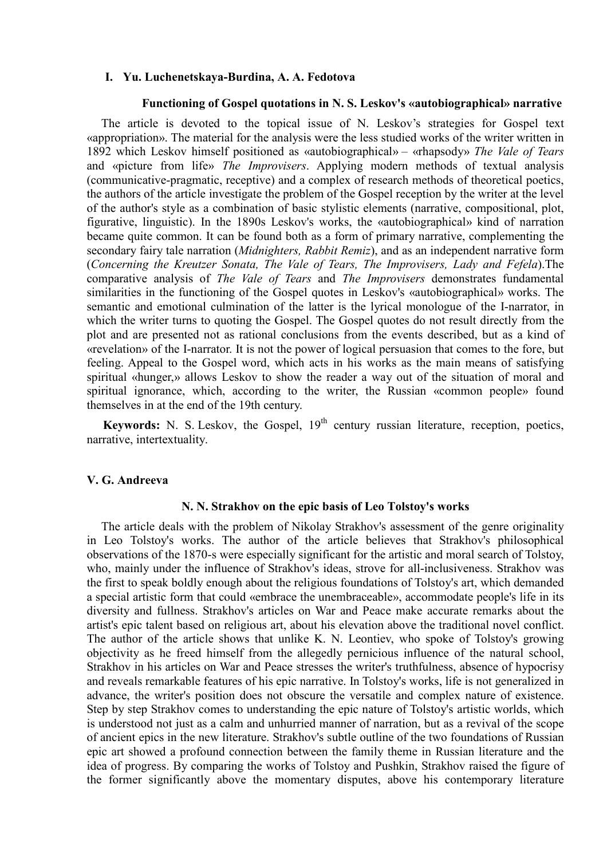# **I. Yu. Luchenetskaya-Burdina, A. A. Fedotova**

#### **Functioning of Gospel quotations in N. S. Leskov's «autobiographical» narrative**

The article is devoted to the topical issue of N. Leskov's strategies for Gospel text «appropriation». The material for the analysis were the less studied works of the writer written in 1892 which Leskov himself positioned as «autobiographical» – «rhapsody» *The Vale of Tears*  and «picture from life» *The Improvisers*. Applying modern methods of textual analysis (communicative-pragmatic, receptive) and a complex of research methods of theoretical poetics, the authors of the article investigate the problem of the Gospel reception by the writer at the level of the author's style as a combination of basic stylistic elements (narrative, compositional, plot, figurative, linguistic). In the 1890s Leskov's works, the «autobiographical» kind of narration became quite common. It can be found both as a form of primary narrative, complementing the secondary fairy tale narration (*Midnighters, Rabbit Remiz*), and as an independent narrative form (*Concerning the Kreutzer Sonata, The Vale of Tears, The Improvisers, Lady and Fefela*).The comparative analysis of *The Vale of Tears* and *The Improvisers* demonstrates fundamental similarities in the functioning of the Gospel quotes in Leskov's «autobiographical» works. The semantic and emotional culmination of the latter is the lyrical monologue of the I-narrator, in which the writer turns to quoting the Gospel. The Gospel quotes do not result directly from the plot and are presented not as rational conclusions from the events described, but as a kind of «revelation» of the I-narrator. It is not the power of logical persuasion that comes to the fore, but feeling. Appeal to the Gospel word, which acts in his works as the main means of satisfying spiritual «hunger,» allows Leskov to show the reader a way out of the situation of moral and spiritual ignorance, which, according to the writer, the Russian «common people» found themselves in at the end of the 19th century.

**Keywords:** N. S. Leskov, the Gospel, 19<sup>th</sup> century russian literature, reception, poetics, narrative, intertextuality.

## **V. G. Andreeva**

## **N. N. Strakhov on the epic basis of Leo Tolstoy's works**

The article deals with the problem of Nikolay Strakhov's assessment of the genre originality in Leo Tolstoy's works. The author of the article believes that Strakhov's philosophical observations of the 1870-s were especially significant for the artistic and moral search of Tolstoy, who, mainly under the influence of Strakhov's ideas, strove for all-inclusiveness. Strakhov was the first to speak boldly enough about the religious foundations of Tolstoy's art, which demanded a special artistic form that could «embrace the unembraceable», accommodate people's life in its diversity and fullness. Strakhov's articles on War and Peace make accurate remarks about the artist's epic talent based on religious art, about his elevation above the traditional novel conflict. The author of the article shows that unlike K. N. Leontiev, who spoke of Tolstoy's growing objectivity as he freed himself from the allegedly pernicious influence of the natural school, Strakhov in his articles on War and Peace stresses the writer's truthfulness, absence of hypocrisy and reveals remarkable features of his epic narrative. In Tolstoy's works, life is not generalized in advance, the writer's position does not obscure the versatile and complex nature of existence. Step by step Strakhov comes to understanding the epic nature of Tolstoy's artistic worlds, which is understood not just as a calm and unhurried manner of narration, but as a revival of the scope of ancient epics in the new literature. Strakhov's subtle outline of the two foundations of Russian epic art showed a profound connection between the family theme in Russian literature and the idea of progress. By comparing the works of Tolstoy and Pushkin, Strakhov raised the figure of the former significantly above the momentary disputes, above his contemporary literature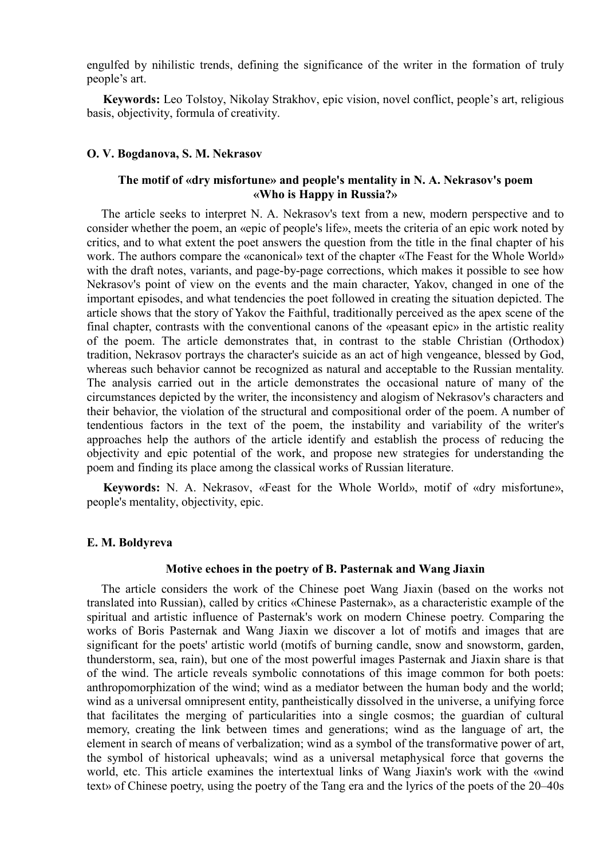engulfed by nihilistic trends, defining the significance of the writer in the formation of truly people's art.

**Keywords:** Leo Tolstoy, Nikolay Strakhov, epic vision, novel conflict, people's art, religious basis, objectivity, formula of creativity.

## **O. V. Bogdanova, S. M. Nekrasov**

# **The motif of «dry misfortune» and people's mentality in N. A. Nekrasov's poem «Who is Happy in Russia?»**

The article seeks to interpret N. A. Nekrasov's text from a new, modern perspective and to consider whether the poem, an «epic of people's life», meets the criteria of an epic work noted by critics, and to what extent the poet answers the question from the title in the final chapter of his work. The authors compare the «canonical» text of the chapter «The Feast for the Whole World» with the draft notes, variants, and page-by-page corrections, which makes it possible to see how Nekrasov's point of view on the events and the main character, Yakov, changed in one of the important episodes, and what tendencies the poet followed in creating the situation depicted. The article shows that the story of Yakov the Faithful, traditionally perceived as the apex scene of the final chapter, contrasts with the conventional canons of the «peasant epic» in the artistic reality of the poem. The article demonstrates that, in contrast to the stable Christian (Orthodox) tradition, Nekrasov portrays the character's suicide as an act of high vengeance, blessed by God, whereas such behavior cannot be recognized as natural and acceptable to the Russian mentality. The analysis carried out in the article demonstrates the occasional nature of many of the circumstances depicted by the writer, the inconsistency and alogism of Nekrasov's characters and their behavior, the violation of the structural and compositional order of the poem. A number of tendentious factors in the text of the poem, the instability and variability of the writer's approaches help the authors of the article identify and establish the process of reducing the objectivity and epic potential of the work, and propose new strategies for understanding the poem and finding its place among the classical works of Russian literature.

**Keywords:** N. A. Nekrasov, «Feast for the Whole World», motif of «dry misfortune», people's mentality, objectivity, epic.

# **E. M. Boldyreva**

# **Motive echoes in the poetry of B. Pasternak and Wang Jiaxin**

The article considers the work of the Chinese poet Wang Jiaxin (based on the works not translated into Russian), called by critics «Chinese Pasternak», as a characteristic example of the spiritual and artistic influence of Pasternak's work on modern Chinese poetry. Comparing the works of Boris Pasternak and Wang Jiaxin we discover a lot of motifs and images that are significant for the poets' artistic world (motifs of burning candle, snow and snowstorm, garden, thunderstorm, sea, rain), but one of the most powerful images Pasternak and Jiaxin share is that of the wind. The article reveals symbolic connotations of this image common for both poets: anthropomorphization of the wind; wind as a mediator between the human body and the world; wind as a universal omnipresent entity, pantheistically dissolved in the universe, a unifying force that facilitates the merging of particularities into a single cosmos; the guardian of cultural memory, creating the link between times and generations; wind as the language of art, the element in search of means of verbalization; wind as a symbol of the transformative power of art, the symbol of historical upheavals; wind as a universal metaphysical force that governs the world, etc. This article examines the intertextual links of Wang Jiaxin's work with the «wind text» of Chinese poetry, using the poetry of the Tang era and the lyrics of the poets of the 20–40s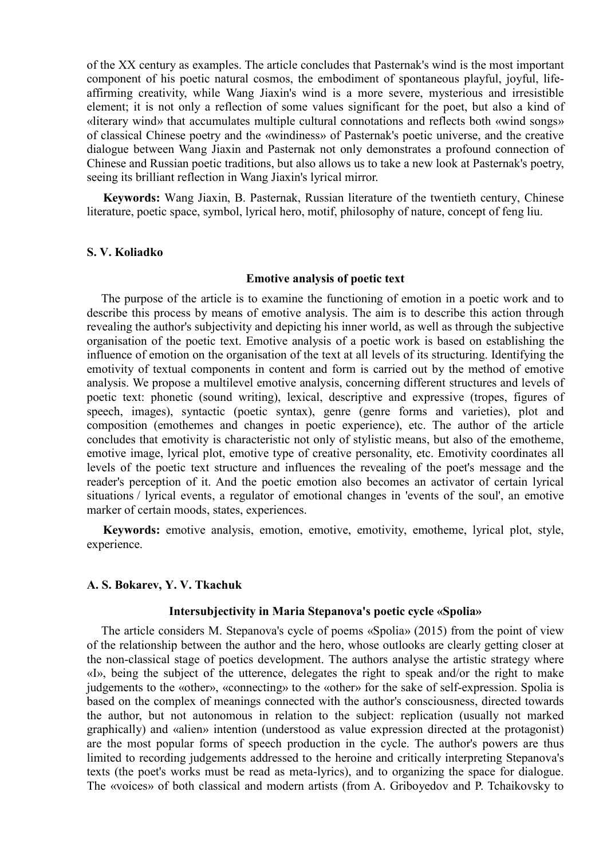of the XX century as examples. The article concludes that Pasternak's wind is the most important component of his poetic natural cosmos, the embodiment of spontaneous playful, joyful, lifeaffirming creativity, while Wang Jiaxin's wind is a more severe, mysterious and irresistible element; it is not only a reflection of some values significant for the poet, but also a kind of «literary wind» that accumulates multiple cultural connotations and reflects both «wind songs» of classical Chinese poetry and the «windiness» of Pasternak's poetic universe, and the creative dialogue between Wang Jiaxin and Pasternak not only demonstrates a profound connection of Chinese and Russian poetic traditions, but also allows us to take a new look at Pasternak's poetry, seeing its brilliant reflection in Wang Jiaxin's lyrical mirror.

**Keywords:** Wang Jiaxin, B. Pasternak, Russian literature of the twentieth century, Chinese literature, poetic space, symbol, lyrical hero, motif, philosophy of nature, concept of feng liu.

# **S. V. Koliadko**

#### **Emotive analysis of poetic text**

The purpose of the article is to examine the functioning of emotion in a poetic work and to describe this process by means of emotive analysis. The aim is to describe this action through revealing the author's subjectivity and depicting his inner world, as well as through the subjective organisation of the poetic text. Emotive analysis of a poetic work is based on establishing the influence of emotion on the organisation of the text at all levels of its structuring. Identifying the emotivity of textual components in content and form is carried out by the method of emotive analysis. We propose a multilevel emotive analysis, concerning different structures and levels of poetic text: phonetic (sound writing), lexical, descriptive and expressive (tropes, figures of speech, images), syntactic (poetic syntax), genre (genre forms and varieties), plot and composition (emothemes and changes in poetic experience), etc. The author of the article concludes that emotivity is characteristic not only of stylistic means, but also of the emotheme, emotive image, lyrical plot, emotive type of creative personality, etc. Emotivity coordinates all levels of the poetic text structure and influences the revealing of the poet's message and the reader's perception of it. And the poetic emotion also becomes an activator of certain lyrical situations / lyrical events, a regulator of emotional changes in 'events of the soul', an emotive marker of certain moods, states, experiences.

**Keywords:** emotive analysis, emotion, emotive, emotivity, emotheme, lyrical plot, style, experience.

## **A. S. Bokarev, Y. V. Tkachuk**

# **Intersubjectivity in Maria Stepanova's poetic cycle «Spolia»**

The article considers M. Stepanova's cycle of poems «Spolia» (2015) from the point of view of the relationship between the author and the hero, whose outlooks are clearly getting closer at the non-classical stage of poetics development. The authors analyse the artistic strategy where «I», being the subject of the utterence, delegates the right to speak and/or the right to make judgements to the «other», «connecting» to the «other» for the sake of self-expression. Spolia is based on the complex of meanings connected with the author's consciousness, directed towards the author, but not autonomous in relation to the subject: replication (usually not marked graphically) and «alien» intention (understood as value expression directed at the protagonist) are the most popular forms of speech production in the cycle. The author's powers are thus limited to recording judgements addressed to the heroine and critically interpreting Stepanova's texts (the poet's works must be read as meta-lyrics), and to organizing the space for dialogue. The «voices» of both classical and modern artists (from A. Griboyedov and P. Tchaikovsky to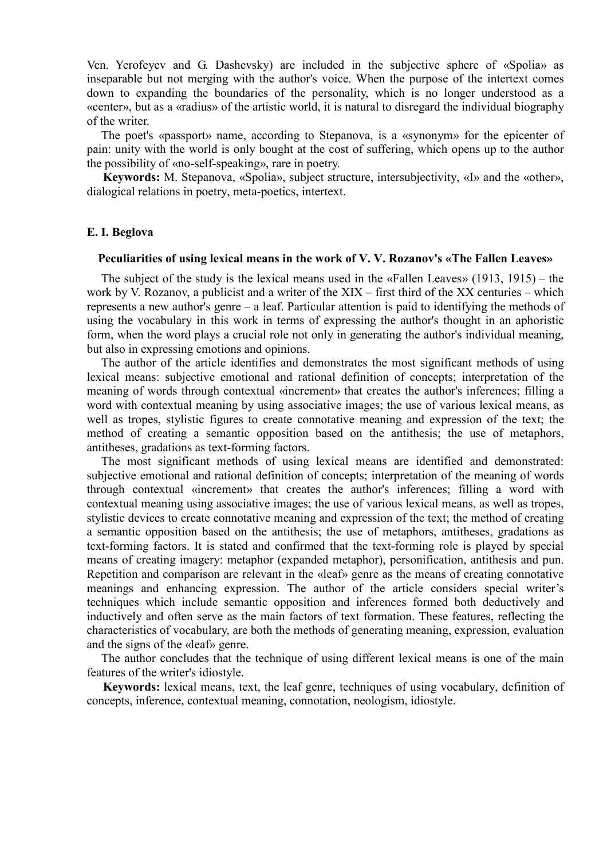Ven. Yerofeyev and G. Dashevsky) are included in the subjective sphere of «Spolia» as inseparable but not merging with the author's voice. When the purpose of the intertext comes down to expanding the boundaries of the personality, which is no longer understood as a «center», but as a «radius» of the artistic world, it is natural to disregard the individual biography of the writer.

The poet's «passport» name, according to Stepanova, is a «synonym» for the epicenter of pain: unity with the world is only bought at the cost of suffering, which opens up to the author the possibility of «no-self-speaking», rare in poetry.

**Keywords:** M. Stepanova, «Spolia», subject structure, intersubjectivity, «I» and the «other», dialogical relations in poetry, meta-poetics, intertext.

### **E. I. Beglova**

#### **Peculiarities of using lexical means in the work of V. V. Rozanov's «The Fallen Leaves»**

The subject of the study is the lexical means used in the «Fallen Leaves» (1913, 1915) – the work by V. Rozanov, a publicist and a writer of the XIX – first third of the XX centuries – which represents a new author's genre – a leaf. Particular attention is paid to identifying the methods of using the vocabulary in this work in terms of expressing the author's thought in an aphoristic form, when the word plays a crucial role not only in generating the author's individual meaning, but also in expressing emotions and opinions.

The author of the article identifies and demonstrates the most significant methods of using lexical means: subjective emotional and rational definition of concepts; interpretation of the meaning of words through contextual «increment» that creates the author's inferences; filling a word with contextual meaning by using associative images; the use of various lexical means, as well as tropes, stylistic figures to create connotative meaning and expression of the text; the method of creating a semantic opposition based on the antithesis; the use of metaphors, antitheses, gradations as text-forming factors.

The most significant methods of using lexical means are identified and demonstrated: subjective emotional and rational definition of concepts; interpretation of the meaning of words through contextual «increment» that creates the author's inferences; filling a word with contextual meaning using associative images; the use of various lexical means, as well as tropes, stylistic devices to create connotative meaning and expression of the text; the method of creating a semantic opposition based on the antithesis; the use of metaphors, antitheses, gradations as text-forming factors. It is stated and confirmed that the text-forming role is played by special means of creating imagery: metaphor (expanded metaphor), personification, antithesis and pun. Repetition and comparison are relevant in the «leaf» genre as the means of creating connotative meanings and enhancing expression. The author of the article considers special writer's techniques which include semantic opposition and inferences formed both deductively and inductively and often serve as the main factors of text formation. These features, reflecting the characteristics of vocabulary, are both the methods of generating meaning, expression, evaluation and the signs of the «leaf» genre.

The author concludes that the technique of using different lexical means is one of the main features of the writer's idiostyle.

**Keywords:** lexical means, text, the leaf genre, techniques of using vocabulary, definition of concepts, inference, contextual meaning, connotation, neologism, idiostyle.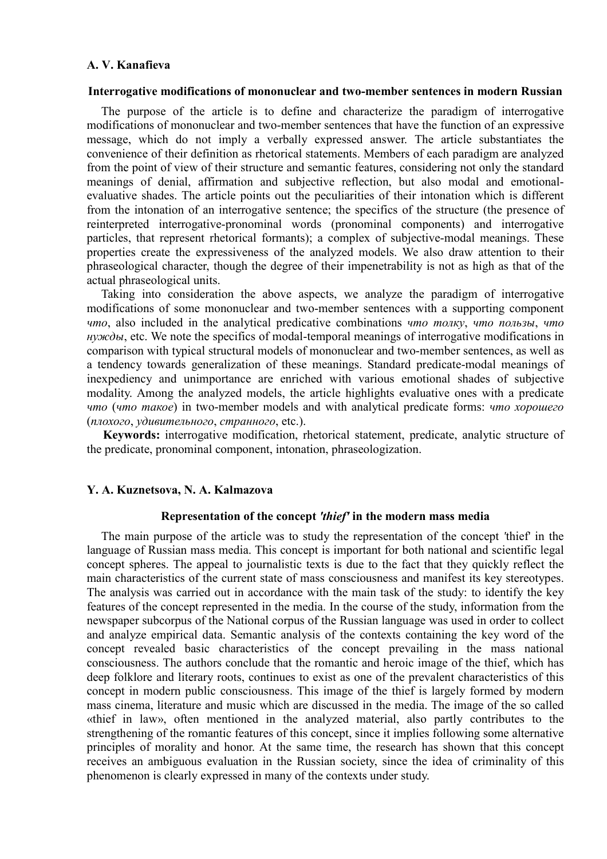# **A. V. Kanafieva**

#### **Interrogative modifications of mononuclear and two-member sentences in modern Russian**

The purpose of the article is to define and characterize the paradigm of interrogative modifications of mononuclear and two-member sentences that have the function of an expressive message, which do not imply a verbally expressed answer. The article substantiates the convenience of their definition as rhetorical statements. Members of each paradigm are analyzed from the point of view of their structure and semantic features, considering not only the standard meanings of denial, affirmation and subjective reflection, but also modal and emotionalevaluative shades. The article points out the peculiarities of their intonation which is different from the intonation of an interrogative sentence; the specifics of the structure (the presence of reinterpreted interrogative-pronominal words (pronominal components) and interrogative particles, that represent rhetorical formants); a complex of subjective-modal meanings. These properties create the expressiveness of the analyzed models. We also draw attention to their phraseological character, though the degree of their impenetrability is not as high as that of the actual phraseological units.

Taking into consideration the above aspects, we analyze the paradigm of interrogative modifications of some mononuclear and two-member sentences with a supporting component *что*, also included in the analytical predicative combinations *что толку*, *что пользы*, *что нужды*, etc. We note the specifics of modal-temporal meanings of interrogative modifications in comparison with typical structural models of mononuclear and two-member sentences, as well as a tendency towards generalization of these meanings. Standard predicate-modal meanings of inexpediency and unimportance are enriched with various emotional shades of subjective modality. Among the analyzed models, the article highlights evaluative ones with a predicate *что* (*что такое*) in two-member models and with analytical predicate forms: *что хорошего* (*плохого*, *удивительного*, *странного*, etc.).

**Keywords:** interrogative modification, rhetorical statement, predicate, analytic structure of the predicate, pronominal component, intonation, phraseologization.

## **Y. A. Kuznetsova, N. A. Kalmazova**

#### **Representation of the concept** *'thief'* **in the modern mass media**

The main purpose of the article was to study the representation of the concept *'*thief' in the language of Russian mass media. This concept is important for both national and scientific legal concept spheres. The appeal to journalistic texts is due to the fact that they quickly reflect the main characteristics of the current state of mass consciousness and manifest its key stereotypes. The analysis was carried out in accordance with the main task of the study: to identify the key features of the concept represented in the media. In the course of the study, information from the newspaper subcorpus of the National corpus of the Russian language was used in order to collect and analyze empirical data. Semantic analysis of the contexts containing the key word of the concept revealed basic characteristics of the concept prevailing in the mass national consciousness. The authors conclude that the romantic and heroic image of the thief, which has deep folklore and literary roots, continues to exist as one of the prevalent characteristics of this concept in modern public consciousness. This image of the thief is largely formed by modern mass cinema, literature and music which are discussed in the media. The image of the so called «thief in law», often mentioned in the analyzed material, also partly contributes to the strengthening of the romantic features of this concept, since it implies following some alternative principles of morality and honor. At the same time, the research has shown that this concept receives an ambiguous evaluation in the Russian society, since the idea of criminality of this phenomenon is clearly expressed in many of the contexts under study.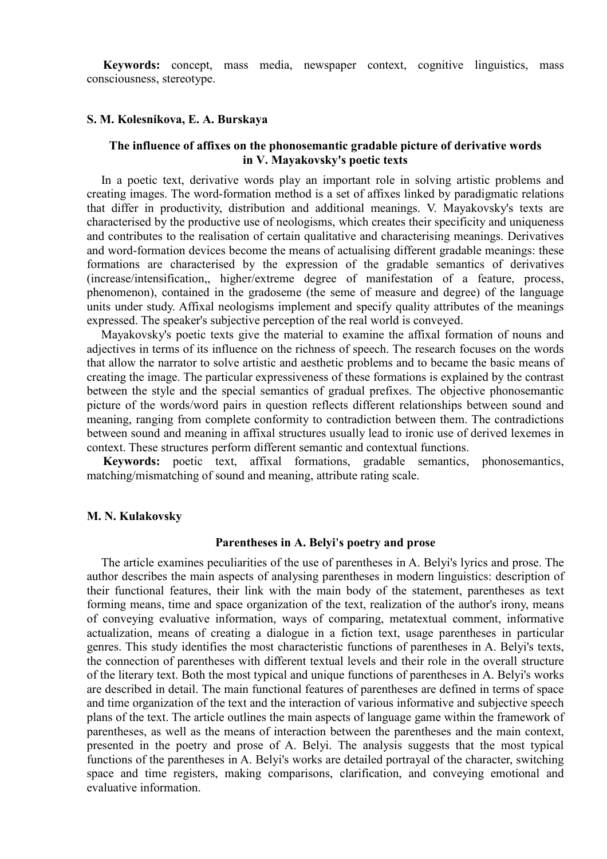**Keywords:** concept, mass media, newspaper context, cognitive linguistics, mass consciousness, stereotype.

# **S. M. Kolesnikova, E. A. Burskaya**

# **The influence of affixes on the phonosemantic gradable picture of derivative words in V. Mayakovsky's poetic texts**

In a poetic text, derivative words play an important role in solving artistic problems and creating images. The word-formation method is a set of affixes linked by paradigmatic relations that differ in productivity, distribution and additional meanings. V. Mayakovsky's texts are characterised by the productive use of neologisms, which creates their specificity and uniqueness and contributes to the realisation of certain qualitative and characterising meanings. Derivatives and word-formation devices become the means of actualising different gradable meanings: these formations are characterised by the expression of the gradable semantics of derivatives (increase/intensification,, higher/extreme degree of manifestation of a feature, process, phenomenon), contained in the gradoseme (the seme of measure and degree) of the language units under study. Affixal neologisms implement and specify quality attributes of the meanings expressed. The speaker's subjective perception of the real world is conveyed.

Mayakovsky's poetic texts give the material to examine the affixal formation of nouns and adjectives in terms of its influence on the richness of speech. The research focuses on the words that allow the narrator to solve artistic and aesthetic problems and to became the basic means of creating the image. The particular expressiveness of these formations is explained by the contrast between the style and the special semantics of gradual prefixes. The objective phonosemantic picture of the words/word pairs in question reflects different relationships between sound and meaning, ranging from complete conformity to contradiction between them. The contradictions between sound and meaning in affixal structures usually lead to ironic use of derived lexemes in context. These structures perform different semantic and contextual functions.

**Keywords:** poetic text, affixal formations, gradable semantics, phonosemantics, matching/mismatching of sound and meaning, attribute rating scale.

## **M. N. Kulakovsky**

#### **Parentheses in A. Belyi's poetry and prose**

The article examines peculiarities of the use of parentheses in A. Belyi's lyrics and prose. The author describes the main aspects of analysing parentheses in modern linguistics: description of their functional features, their link with the main body of the statement, parentheses as text forming means, time and space organization of the text, realization of the author's irony, means of conveying evaluative information, ways of comparing, metatextual comment, informative actualization, means of creating a dialogue in a fiction text, usage parentheses in particular genres. This study identifies the most characteristic functions of parentheses in A. Belyi's texts, the connection of parentheses with different textual levels and their role in the overall structure of the literary text. Both the most typical and unique functions of parentheses in A. Belyi's works are described in detail. The main functional features of parentheses are defined in terms of space and time organization of the text and the interaction of various informative and subjective speech plans of the text. The article outlines the main aspects of language game within the framework of parentheses, as well as the means of interaction between the parentheses and the main context, presented in the poetry and prose of A. Belyi. The analysis suggests that the most typical functions of the parentheses in A. Belyi's works are detailed portrayal of the character, switching space and time registers, making comparisons, clarification, and conveying emotional and evaluative information.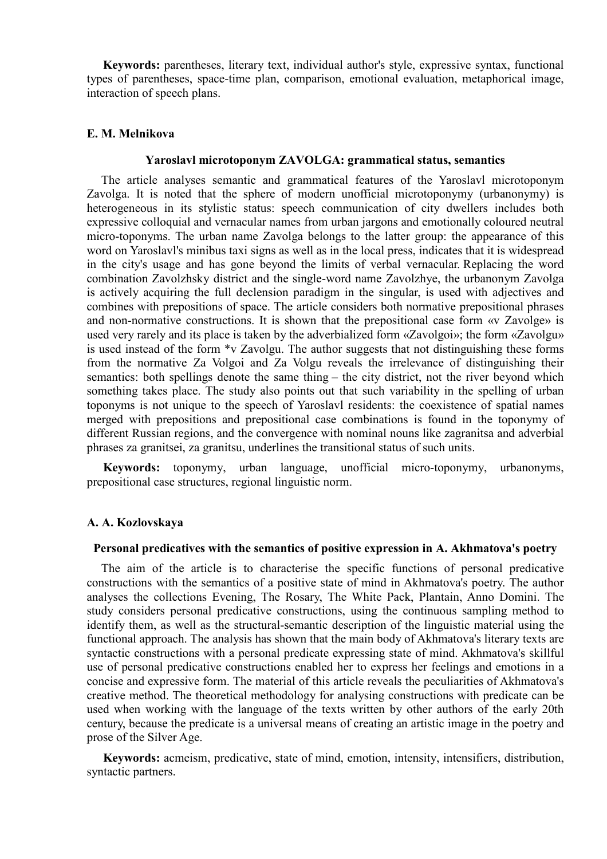**Keywords:** parentheses, literary text, individual author's style, expressive syntax, functional types of parentheses, space-time plan, comparison, emotional evaluation, metaphorical image, interaction of speech plans.

# **E. M. Melnikova**

# **Yaroslavl microtoponym ZAVOLGA: grammatical status, semantics**

The article analyses semantic and grammatical features of the Yaroslavl microtoponym Zavolga. It is noted that the sphere of modern unofficial microtoponymy (urbanonymy) is heterogeneous in its stylistic status: speech communication of city dwellers includes both expressive colloquial and vernacular names from urban jargons and emotionally coloured neutral micro-toponyms. The urban name Zavolga belongs to the latter group: the appearance of this word on Yaroslavl's minibus taxi signs as well as in the local press, indicates that it is widespread in the city's usage and has gone beyond the limits of verbal vernacular. Replacing the word combination Zavolzhsky district and the single-word name Zavolzhye, the urbanonym Zavolga is actively acquiring the full declension paradigm in the singular, is used with adjectives and combines with prepositions of space. The article considers both normative prepositional phrases and non-normative constructions. It is shown that the prepositional case form «v Zavolge» is used very rarely and its place is taken by the adverbialized form «Zavolgoi»; the form «Zavolgu» is used instead of the form \*v Zavolgu. The author suggests that not distinguishing these forms from the normative Za Volgoi and Za Volgu reveals the irrelevance of distinguishing their semantics: both spellings denote the same thing – the city district, not the river beyond which something takes place. The study also points out that such variability in the spelling of urban toponyms is not unique to the speech of Yaroslavl residents: the coexistence of spatial names merged with prepositions and prepositional case combinations is found in the toponymy of different Russian regions, and the convergence with nominal nouns like zagranitsa and adverbial phrases za granitsei, za granitsu, underlines the transitional status of such units.

**Keywords:** toponymy, urban language, unofficial micro-toponymy, urbanonyms, prepositional case structures, regional linguistic norm.

# **A. A. Kozlovskaya**

### **Personal predicatives with the semantics of positive expression in A. Akhmatova's poetry**

The aim of the article is to characterise the specific functions of personal predicative constructions with the semantics of a positive state of mind in Akhmatova's poetry. The author analyses the collections Evening, The Rosary, The White Pack, Plantain, Anno Domini. The study considers personal predicative constructions, using the continuous sampling method to identify them, as well as the structural-semantic description of the linguistic material using the functional approach. The analysis has shown that the main body of Akhmatova's literary texts are syntactic constructions with a personal predicate expressing state of mind. Akhmatova's skillful use of personal predicative constructions enabled her to express her feelings and emotions in a concise and expressive form. The material of this article reveals the peculiarities of Akhmatova's creative method. The theoretical methodology for analysing constructions with predicate can be used when working with the language of the texts written by other authors of the early 20th century, because the predicate is a universal means of creating an artistic image in the poetry and prose of the Silver Age.

**Keywords:** acmeism, predicative, state of mind, emotion, intensity, intensifiers, distribution, syntactic partners.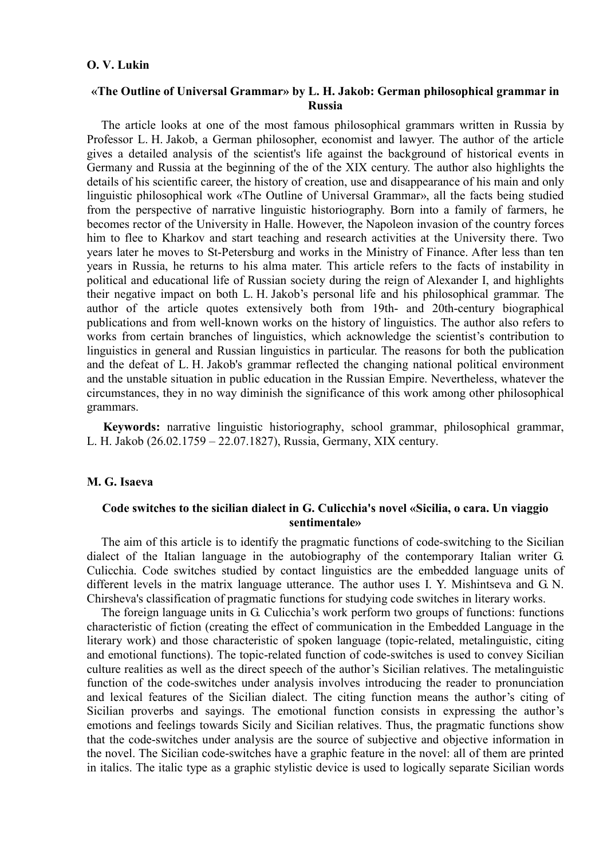# **O. V. Lukin**

# **«The Outline of Universal Grammar» by L. H. Jakob: German philosophical grammar in Russia**

The article looks at one of the most famous philosophical grammars written in Russia by Professor L. H. Jakob, a German philosopher, economist and lawyer. The author of the article gives a detailed analysis of the scientist's life against the background of historical events in Germany and Russia at the beginning of the of the XIX century. The author also highlights the details of his scientific career, the history of creation, use and disappearance of his main and only linguistic philosophical work «The Outline of Universal Grammar», all the facts being studied from the perspective of narrative linguistic historiography. Born into a family of farmers, he becomes rector of the University in Halle. However, the Napoleon invasion of the country forces him to flee to Kharkov and start teaching and research activities at the University there. Two years later he moves to St-Petersburg and works in the Ministry of Finance. After less than ten years in Russia, he returns to his alma mater. This article refers to the facts of instability in political and educational life of Russian society during the reign of Alexander I, and highlights their negative impact on both L. H. Jakob's personal life and his philosophical grammar. The author of the article quotes extensively both from 19th- and 20th-century biographical publications and from well-known works on the history of linguistics. The author also refers to works from certain branches of linguistics, which acknowledge the scientist's contribution to linguistics in general and Russian linguistics in particular. The reasons for both the publication and the defeat of L. H. Jakob's grammar reflected the changing national political environment and the unstable situation in public education in the Russian Empire. Nevertheless, whatever the circumstances, they in no way diminish the significance of this work among other philosophical grammars.

**Keywords:** narrative linguistic historiography, school grammar, philosophical grammar, L. H. Jakob (26.02.1759 – 22.07.1827), Russia, Germany, XIX century.

## **M. G. Isaeva**

# **Code switches to the sicilian dialect in G. Culicchia's novel «Sicilia, o cara. Un viaggio sentimentale»**

The aim of this article is to identify the pragmatic functions of code-switching to the Sicilian dialect of the Italian language in the autobiography of the contemporary Italian writer G. Culicchia. Code switches studied by contact linguistics are the embedded language units of different levels in the matrix language utterance. The author uses I. Y. Mishintseva and G. N. Chirsheva's classification of pragmatic functions for studying code switches in literary works.

The foreign language units in G. Culicchia's work perform two groups of functions: functions characteristic of fiction (creating the effect of communication in the Embedded Language in the literary work) and those characteristic of spoken language (topic-related, metalinguistic, citing and emotional functions). The topic-related function of code-switches is used to convey Sicilian culture realities as well as the direct speech of the author's Sicilian relatives. The metalinguistic function of the code-switches under analysis involves introducing the reader to pronunciation and lexical features of the Sicilian dialect. The citing function means the author's citing of Sicilian proverbs and sayings. The emotional function consists in expressing the author's emotions and feelings towards Sicily and Sicilian relatives. Thus, the pragmatic functions show that the code-switches under analysis are the source of subjective and objective information in the novel. The Sicilian code-switches have a graphic feature in the novel: all of them are printed in italics. The italic type as a graphic stylistic device is used to logically separate Sicilian words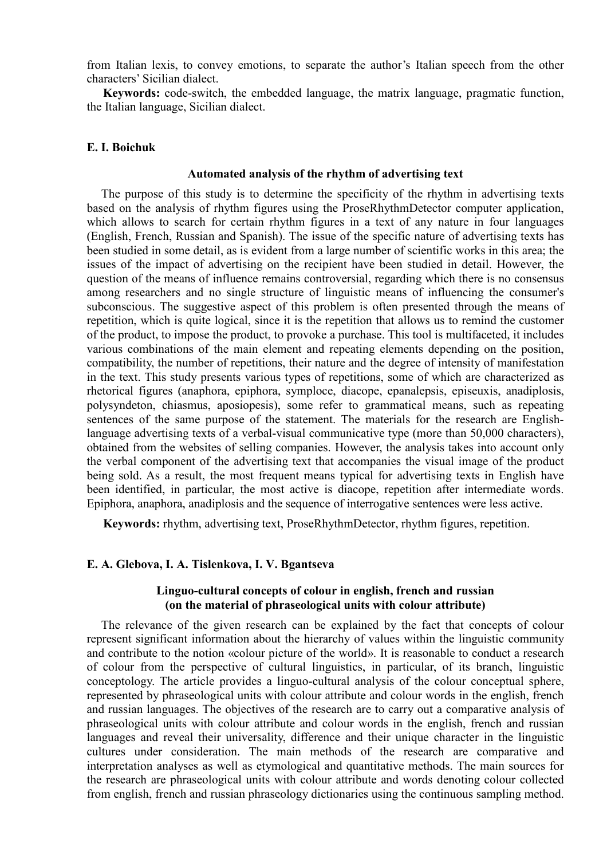from Italian lexis, to convey emotions, to separate the author's Italian speech from the other characters' Sicilian dialect.

**Keywords:** code-switch, the embedded language, the matrix language, pragmatic function, the Italian language, Sicilian dialect.

# **E. I. Boichuk**

### **Automated analysis of the rhythm of advertising text**

The purpose of this study is to determine the specificity of the rhythm in advertising texts based on the analysis of rhythm figures using the ProseRhythmDetector computer application, which allows to search for certain rhythm figures in a text of any nature in four languages (English, French, Russian and Spanish). The issue of the specific nature of advertising texts has been studied in some detail, as is evident from a large number of scientific works in this area; the issues of the impact of advertising on the recipient have been studied in detail. However, the question of the means of influence remains controversial, regarding which there is no consensus among researchers and no single structure of linguistic means of influencing the consumer's subconscious. The suggestive aspect of this problem is often presented through the means of repetition, which is quite logical, since it is the repetition that allows us to remind the customer of the product, to impose the product, to provoke a purchase. This tool is multifaceted, it includes various combinations of the main element and repeating elements depending on the position, compatibility, the number of repetitions, their nature and the degree of intensity of manifestation in the text. This study presents various types of repetitions, some of which are characterized as rhetorical figures (anaphora, epiphora, symploce, diacope, epanalepsis, episeuxis, anadiplosis, polysyndeton, chiasmus, aposiopesis), some refer to grammatical means, such as repeating sentences of the same purpose of the statement. The materials for the research are Englishlanguage advertising texts of a verbal-visual communicative type (more than 50,000 characters), obtained from the websites of selling companies. However, the analysis takes into account only the verbal component of the advertising text that accompanies the visual image of the product being sold. As a result, the most frequent means typical for advertising texts in English have been identified, in particular, the most active is diacope, repetition after intermediate words. Epiphora, anaphora, anadiplosis and the sequence of interrogative sentences were less active.

**Keywords:** rhythm, advertising text, ProseRhythmDetector, rhythm figures, repetition.

# **E. A. Glebova, I. A. Tislenkova, I. V. Bgantseva**

# **Linguo-cultural concepts of colour in english, french and russian (on the material of phraseological units with colour attribute)**

The relevance of the given research can be explained by the fact that concepts of colour represent significant information about the hierarchy of values within the linguistic community and contribute to the notion «colour picture of the world». It is reasonable to conduct a research of colour from the perspective of cultural linguistics, in particular, of its branch, linguistic conceptology. The article provides a linguo-cultural analysis of the colour conceptual sphere, represented by phraseological units with colour attribute and colour words in the english, french and russian languages. The objectives of the research are to carry out a comparative analysis of phraseological units with colour attribute and colour words in the english, french and russian languages and reveal their universality, difference and their unique character in the linguistic cultures under consideration. The main methods of the research are comparative and interpretation analyses as well as etymological and quantitative methods. The main sources for the research are phraseological units with colour attribute and words denoting colour collected from english, french and russian phraseology dictionaries using the continuous sampling method.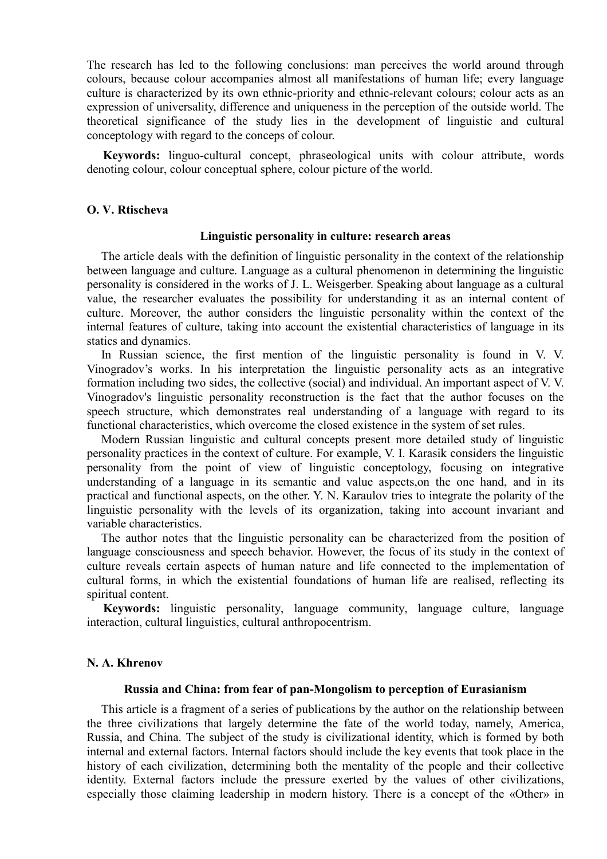The research has led to the following conclusions: man perceives the world around through colours, because colour accompanies almost all manifestations of human life; every language culture is characterized by its own ethnic-priority and ethnic-relevant colours; colour acts as an expression of universality, difference and uniqueness in the perception of the outside world. The theoretical significance of the study lies in the development of linguistic and cultural conceptology with regard to the conceps of colour.

**Keywords:** linguo-cultural concept, phraseological units with colour attribute, words denoting colour, colour conceptual sphere, colour picture of the world.

## **O. V. Rtischeva**

### **Linguistic personality in culture: research areas**

The article deals with the definition of linguistic personality in the context of the relationship between language and culture. Language as a cultural phenomenon in determining the linguistic personality is considered in the works of J. L. Weisgerber. Speaking about language as a cultural value, the researcher evaluates the possibility for understanding it as an internal content of culture. Moreover, the author considers the linguistic personality within the context of the internal features of culture, taking into account the existential characteristics of language in its statics and dynamics.

In Russian science, the first mention of the linguistic personality is found in V. V. Vinogradov's works. In his interpretation the linguistic personality acts as an integrative formation including two sides, the collective (social) and individual. An important aspect of V. V. Vinogradov's linguistic personality reconstruction is the fact that the author focuses on the speech structure, which demonstrates real understanding of a language with regard to its functional characteristics, which overcome the closed existence in the system of set rules.

Modern Russian linguistic and cultural concepts present more detailed study of linguistic personality practices in the context of culture. For example, V. I. Karasik considers the linguistic personality from the point of view of linguistic conceptology, focusing on integrative understanding of a language in its semantic and value aspects,on the one hand, and in its practical and functional aspects, on the other. Y. N. Karaulov tries to integrate the polarity of the linguistic personality with the levels of its organization, taking into account invariant and variable characteristics.

The author notes that the linguistic personality can be characterized from the position of language consciousness and speech behavior. However, the focus of its study in the context of culture reveals certain aspects of human nature and life connected to the implementation of cultural forms, in which the existential foundations of human life are realised, reflecting its spiritual content.

**Keywords:** linguistic personality, language community, language culture, language interaction, cultural linguistics, cultural anthropocentrism.

## **N. A. Khrenov**

#### **Russia and China: from fear of pan-Mongolism to perception of Eurasianism**

This article is a fragment of a series of publications by the author on the relationship between the three civilizations that largely determine the fate of the world today, namely, America, Russia, and China. The subject of the study is civilizational identity, which is formed by both internal and external factors. Internal factors should include the key events that took place in the history of each civilization, determining both the mentality of the people and their collective identity. External factors include the pressure exerted by the values of other civilizations, especially those claiming leadership in modern history. There is a concept of the «Other» in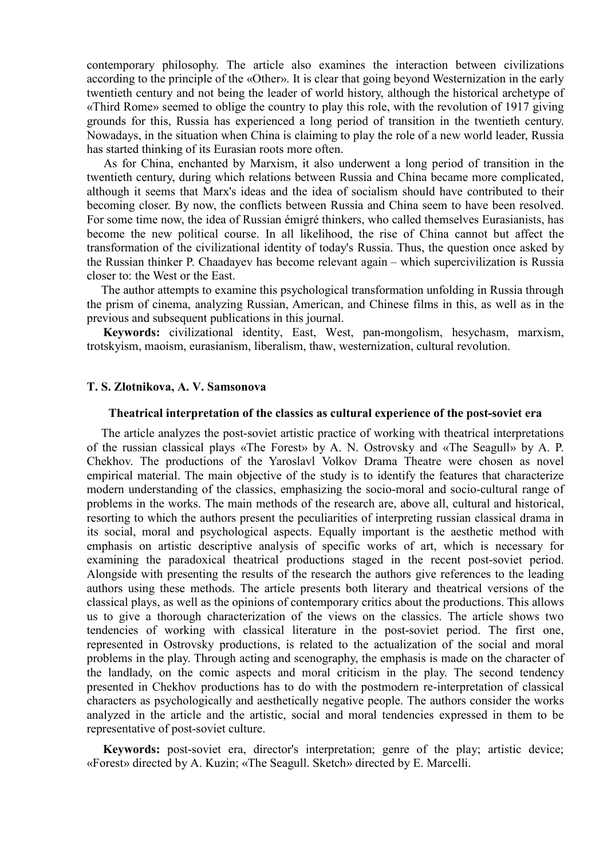contemporary philosophy. The article also examines the interaction between civilizations according to the principle of the «Other». It is clear that going beyond Westernization in the early twentieth century and not being the leader of world history, although the historical archetype of «Third Rome» seemed to oblige the country to play this role, with the revolution of 1917 giving grounds for this, Russia has experienced a long period of transition in the twentieth century. Nowadays, in the situation when China is claiming to play the role of a new world leader, Russia has started thinking of its Eurasian roots more often.

 As for China, enchanted by Marxism, it also underwent a long period of transition in the twentieth century, during which relations between Russia and China became more complicated, although it seems that Marx's ideas and the idea of socialism should have contributed to their becoming closer. By now, the conflicts between Russia and China seem to have been resolved. For some time now, the idea of Russian émigré thinkers, who called themselves Eurasianists, has become the new political course. In all likelihood, the rise of China cannot but affect the transformation of the civilizational identity of today's Russia. Thus, the question once asked by the Russian thinker P. Chaadayev has become relevant again – which supercivilization is Russia closer to: the West or the East.

The author attempts to examine this psychological transformation unfolding in Russia through the prism of cinema, analyzing Russian, American, and Chinese films in this, as well as in the previous and subsequent publications in this journal.

**Keywords:** civilizational identity, East, West, pan-mongolism, hesychasm, marxism, trotskyism, maoism, eurasianism, liberalism, thaw, westernization, cultural revolution.

# **T. S. Zlotnikova, A. V. Samsonova**

## **Theatrical interpretation of the classics as cultural experience of the post-soviet era**

The article analyzes the post-soviet artistic practice of working with theatrical interpretations of the russian classical plays «The Forest» by A. N. Ostrovsky and «The Seagull» by A. P. Chekhov. The productions of the Yaroslavl Volkov Drama Theatre were chosen as novel empirical material. The main objective of the study is to identify the features that characterize modern understanding of the classics, emphasizing the socio-moral and socio-cultural range of problems in the works. The main methods of the research are, above all, cultural and historical, resorting to which the authors present the peculiarities of interpreting russian classical drama in its social, moral and psychological aspects. Equally important is the aesthetic method with emphasis on artistic descriptive analysis of specific works of art, which is necessary for examining the paradoxical theatrical productions staged in the recent post-soviet period. Alongside with presenting the results of the research the authors give references to the leading authors using these methods. The article presents both literary and theatrical versions of the classical plays, as well as the opinions of contemporary critics about the productions. This allows us to give a thorough characterization of the views on the classics. The article shows two tendencies of working with classical literature in the post-soviet period. The first one, represented in Ostrovsky productions, is related to the actualization of the social and moral problems in the play. Through acting and scenography, the emphasis is made on the character of the landlady, on the comic aspects and moral criticism in the play. The second tendency presented in Chekhov productions has to do with the postmodern re-interpretation of classical characters as psychologically and aesthetically negative people. The authors consider the works analyzed in the article and the artistic, social and moral tendencies expressed in them to be representative of post-soviet culture.

**Keywords:** post-soviet era, director's interpretation; genre of the play; artistic device; «Forest» directed by A. Kuzin; «The Seagull. Sketch» directed by E. Marcelli.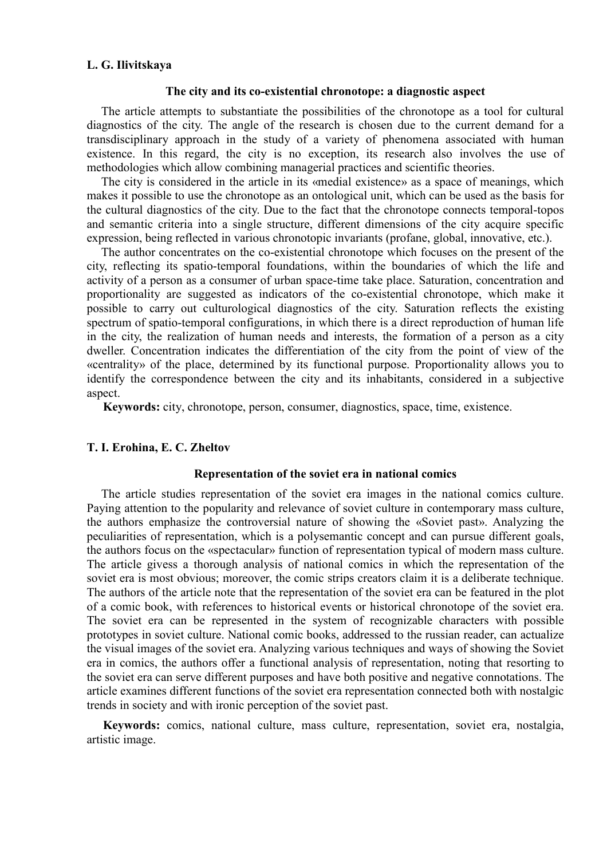# **L. G. Ilivitskaya**

#### **The city and its co-existential chronotope: a diagnostic aspect**

The article attempts to substantiate the possibilities of the chronotope as a tool for cultural diagnostics of the city. The angle of the research is chosen due to the current demand for a transdisciplinary approach in the study of a variety of phenomena associated with human existence. In this regard, the city is no exception, its research also involves the use of methodologies which allow combining managerial practices and scientific theories.

The city is considered in the article in its «medial existence» as a space of meanings, which makes it possible to use the chronotope as an ontological unit, which can be used as the basis for the cultural diagnostics of the city. Due to the fact that the chronotope connects temporal-topos and semantic criteria into a single structure, different dimensions of the city acquire specific expression, being reflected in various chronotopic invariants (profane, global, innovative, etc.).

The author concentrates on the co-existential chronotope which focuses on the present of the city, reflecting its spatio-temporal foundations, within the boundaries of which the life and activity of a person as a consumer of urban space-time take place. Saturation, concentration and proportionality are suggested as indicators of the co-existential chronotope, which make it possible to carry out culturological diagnostics of the city. Saturation reflects the existing spectrum of spatio-temporal configurations, in which there is a direct reproduction of human life in the city, the realization of human needs and interests, the formation of a person as a city dweller. Concentration indicates the differentiation of the city from the point of view of the «centrality» of the place, determined by its functional purpose. Proportionality allows you to identify the correspondence between the city and its inhabitants, considered in a subjective aspect.

**Keywords:** city, chronotope, person, consumer, diagnostics, space, time, existence.

# **T. I. Erohina, E. С. Zheltov**

# **Representation of the soviet era in national comics**

The article studies representation of the soviet era images in the national comics culture. Paying attention to the popularity and relevance of soviet culture in contemporary mass culture, the authors emphasize the controversial nature of showing the «Soviet past». Analyzing the peculiarities of representation, which is a polysemantic concept and can pursue different goals, the authors focus on the «spectacular» function of representation typical of modern mass culture. The article givess a thorough analysis of national comics in which the representation of the soviet era is most obvious; moreover, the comic strips creators claim it is a deliberate technique. The authors of the article note that the representation of the soviet era can be featured in the plot of a comic book, with references to historical events or historical chronotope of the soviet era. The soviet era can be represented in the system of recognizable characters with possible prototypes in soviet culture. National comic books, addressed to the russian reader, can actualize the visual images of the soviet era. Analyzing various techniques and ways of showing the Soviet era in comics, the authors offer a functional analysis of representation, noting that resorting to the soviet era can serve different purposes and have both positive and negative connotations. The article examines different functions of the soviet era representation connected both with nostalgic trends in society and with ironic perception of the soviet past.

**Keywords:** comics, national culture, mass culture, representation, soviet era, nostalgia, artistic image.